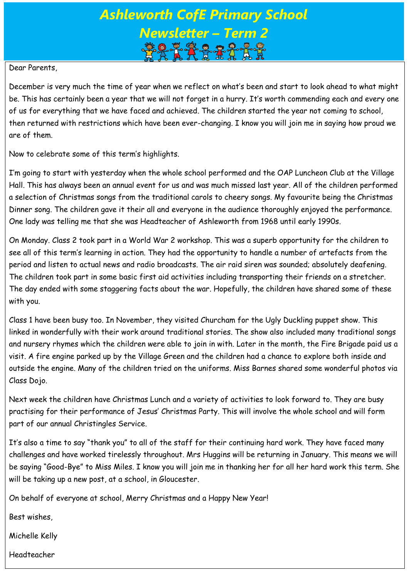# *Ashleworth CofE Primary School Newsletter – Term 2*

#### Dear Parents,

December is very much the time of year when we reflect on what's been and start to look ahead to what might be. This has certainly been a year that we will not forget in a hurry. It's worth commending each and every one of us for everything that we have faced and achieved. The children started the year not coming to school, then returned with restrictions which have been ever-changing. I know you will join me in saying how proud we are of them.

Now to celebrate some of this term's highlights.

I'm going to start with yesterday when the whole school performed and the OAP Luncheon Club at the Village Hall. This has always been an annual event for us and was much missed last year. All of the children performed a selection of Christmas songs from the traditional carols to cheery songs. My favourite being the Christmas Dinner song. The children gave it their all and everyone in the audience thoroughly enjoyed the performance. One lady was telling me that she was Headteacher of Ashleworth from 1968 until early 1990s.

On Monday. Class 2 took part in a World War 2 workshop. This was a superb opportunity for the children to see all of this term's learning in action. They had the opportunity to handle a number of artefacts from the period and listen to actual news and radio broadcasts. The air raid siren was sounded; absolutely deafening. The children took part in some basic first aid activities including transporting their friends on a stretcher. The day ended with some staggering facts about the war. Hopefully, the children have shared some of these with you.

Class 1 have been busy too. In November, they visited Churcham for the Ugly Duckling puppet show. This linked in wonderfully with their work around traditional stories. The show also included many traditional songs and nursery rhymes which the children were able to join in with. Later in the month, the Fire Brigade paid us a visit. A fire engine parked up by the Village Green and the children had a chance to explore both inside and outside the engine. Many of the children tried on the uniforms. Miss Barnes shared some wonderful photos via Class Dojo.

Next week the children have Christmas Lunch and a variety of activities to look forward to. They are busy practising for their performance of Jesus' Christmas Party. This will involve the whole school and will form part of our annual Christingles Service.

It's also a time to say "thank you" to all of the staff for their continuing hard work. They have faced many challenges and have worked tirelessly throughout. Mrs Huggins will be returning in January. This means we will be saying "Good-Bye" to Miss Miles. I know you will join me in thanking her for all her hard work this term. She will be taking up a new post, at a school, in Gloucester.

On behalf of everyone at school, Merry Christmas and a Happy New Year!

Best wishes,

Michelle Kelly

Headteacher